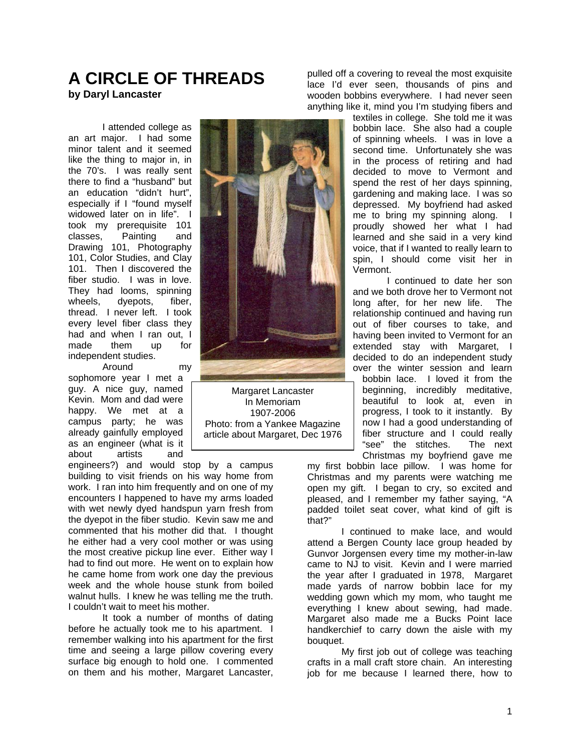## **A CIRCLE OF THREADS by Daryl Lancaster**

I attended college as an art major. I had some minor talent and it seemed like the thing to major in, in the 70's. I was really sent there to find a "husband" but an education "didn't hurt", especially if I "found myself widowed later on in life". I took my prerequisite 101 classes, Painting and Drawing 101, Photography 101, Color Studies, and Clay 101. Then I discovered the fiber studio. I was in love. They had looms, spinning wheels, dyepots, fiber, thread. I never left. I took every level fiber class they had and when I ran out, I made them up for independent studies.

Around my sophomore year I met a guy. A nice guy, named Kevin. Mom and dad were happy. We met at a campus party; he was already gainfully employed as an engineer (what is it about artists and

engineers?) and would stop by a campus building to visit friends on his way home from work. I ran into him frequently and on one of my encounters I happened to have my arms loaded with wet newly dyed handspun yarn fresh from the dyepot in the fiber studio. Kevin saw me and commented that his mother did that. I thought he either had a very cool mother or was using the most creative pickup line ever. Either way I had to find out more. He went on to explain how he came home from work one day the previous week and the whole house stunk from boiled walnut hulls. I knew he was telling me the truth. I couldn't wait to meet his mother.

It took a number of months of dating before he actually took me to his apartment. I remember walking into his apartment for the first time and seeing a large pillow covering every surface big enough to hold one. I commented on them and his mother, Margaret Lancaster,



Margaret Lancaster In Memoriam 1907-2006 Photo: from a Yankee Magazine article about Margaret, Dec 1976

pulled off a covering to reveal the most exquisite lace I'd ever seen, thousands of pins and wooden bobbins everywhere. I had never seen anything like it, mind you I'm studying fibers and

> textiles in college. She told me it was bobbin lace. She also had a couple of spinning wheels. I was in love a second time. Unfortunately she was in the process of retiring and had decided to move to Vermont and spend the rest of her days spinning, gardening and making lace. I was so depressed. My boyfriend had asked me to bring my spinning along. I proudly showed her what I had learned and she said in a very kind voice, that if I wanted to really learn to spin, I should come visit her in Vermont.

> I continued to date her son and we both drove her to Vermont not long after, for her new life. The relationship continued and having run out of fiber courses to take, and having been invited to Vermont for an extended stay with Margaret, I decided to do an independent study over the winter session and learn bobbin lace. I loved it from the beginning, incredibly meditative, beautiful to look at, even in progress, I took to it instantly. By now I had a good understanding of fiber structure and I could really "see" the stitches. The next Christmas my boyfriend gave me

my first bobbin lace pillow. I was home for Christmas and my parents were watching me open my gift. I began to cry, so excited and pleased, and I remember my father saying, "A padded toilet seat cover, what kind of gift is that?"

I continued to make lace, and would attend a Bergen County lace group headed by Gunvor Jorgensen every time my mother-in-law came to NJ to visit. Kevin and I were married the year after I graduated in 1978, Margaret made yards of narrow bobbin lace for my wedding gown which my mom, who taught me everything I knew about sewing, had made. Margaret also made me a Bucks Point lace handkerchief to carry down the aisle with my bouquet.

My first job out of college was teaching crafts in a mall craft store chain. An interesting job for me because I learned there, how to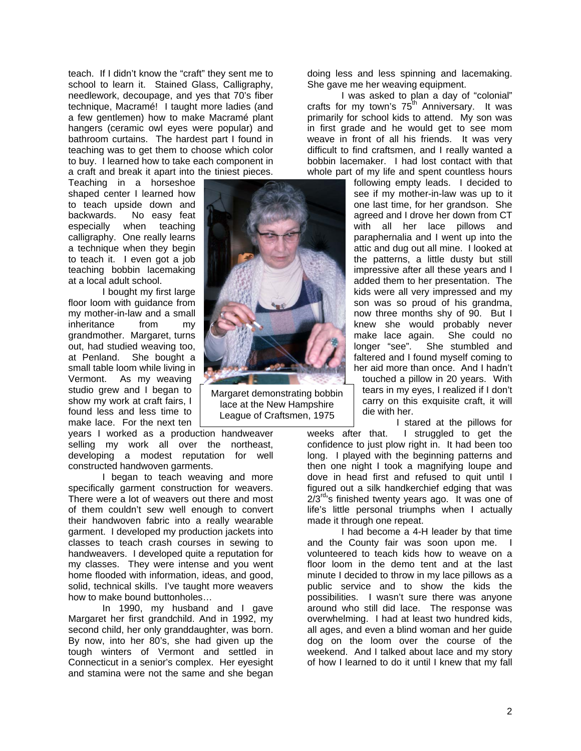teach. If I didn't know the "craft" they sent me to school to learn it. Stained Glass, Calligraphy, needlework, decoupage, and yes that 70's fiber technique, Macramé! I taught more ladies (and a few gentlemen) how to make Macramé plant hangers (ceramic owl eyes were popular) and bathroom curtains. The hardest part I found in teaching was to get them to choose which color to buy. I learned how to take each component in a craft and break it apart into the tiniest pieces.

Teaching in a horseshoe shaped center I learned how to teach upside down and backwards. No easy feat<br>especially when teaching especially when teaching calligraphy. One really learns a technique when they begin to teach it. I even got a job teaching bobbin lacemaking at a local adult school.

I bought my first large floor loom with guidance from my mother-in-law and a small inheritance from my grandmother. Margaret, turns out, had studied weaving too, at Penland. She bought a small table loom while living in Vermont. As my weaving studio grew and I began to show my work at craft fairs, I found less and less time to make lace. For the next ten

years I worked as a production handweaver selling my work all over the northeast, developing a modest reputation for well constructed handwoven garments.

I began to teach weaving and more specifically garment construction for weavers. There were a lot of weavers out there and most of them couldn't sew well enough to convert their handwoven fabric into a really wearable garment. I developed my production jackets into classes to teach crash courses in sewing to handweavers. I developed quite a reputation for my classes. They were intense and you went home flooded with information, ideas, and good, solid, technical skills. I've taught more weavers how to make bound buttonholes…

In 1990, my husband and I gave Margaret her first grandchild. And in 1992, my second child, her only granddaughter, was born. By now, into her 80's, she had given up the tough winters of Vermont and settled in Connecticut in a senior's complex. Her eyesight and stamina were not the same and she began



Margaret demonstrating bobbin lace at the New Hampshire League of Craftsmen, 1975

doing less and less spinning and lacemaking. She gave me her weaving equipment.

I was asked to plan a day of "colonial" crafts for my town's  $75^{\text{th}}$  Anniversary. It was primarily for school kids to attend. My son was in first grade and he would get to see mom weave in front of all his friends. It was very difficult to find craftsmen, and I really wanted a bobbin lacemaker. I had lost contact with that whole part of my life and spent countless hours

following empty leads. I decided to see if my mother-in-law was up to it one last time, for her grandson. She agreed and I drove her down from CT with all her lace pillows and paraphernalia and I went up into the attic and dug out all mine. I looked at the patterns, a little dusty but still impressive after all these years and I added them to her presentation. The kids were all very impressed and my son was so proud of his grandma, now three months shy of 90. But I knew she would probably never make lace again. She could no longer "see". She stumbled and faltered and I found myself coming to her aid more than once. And I hadn't touched a pillow in 20 years. With tears in my eyes, I realized if I don't carry on this exquisite craft, it will die with her.

I stared at the pillows for weeks after that. I struggled to get the confidence to just plow right in. It had been too long. I played with the beginning patterns and then one night I took a magnifying loupe and dove in head first and refused to quit until I figured out a silk handkerchief edging that was  $2/3^{rd}$ 's finished twenty years ago. It was one of life's little personal triumphs when I actually made it through one repeat.

I had become a 4-H leader by that time and the County fair was soon upon me. I volunteered to teach kids how to weave on a floor loom in the demo tent and at the last minute I decided to throw in my lace pillows as a public service and to show the kids the possibilities. I wasn't sure there was anyone around who still did lace. The response was overwhelming. I had at least two hundred kids, all ages, and even a blind woman and her guide dog on the loom over the course of the weekend. And I talked about lace and my story of how I learned to do it until I knew that my fall